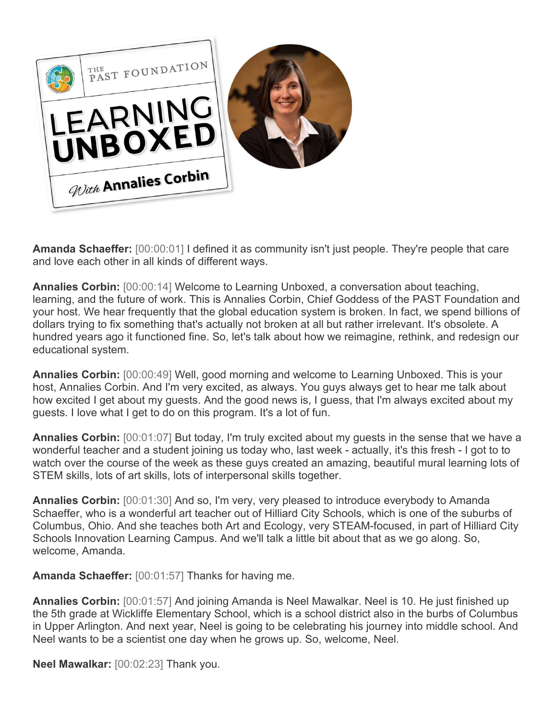

**Amanda Schaeffer:** [00:00:01] I defined it as community isn't just people. They're people that care and love each other in all kinds of different ways.

**Annalies Corbin:** [00:00:14] Welcome to Learning Unboxed, a conversation about teaching, learning, and the future of work. This is Annalies Corbin, Chief Goddess of the PAST Foundation and your host. We hear frequently that the global education system is broken. In fact, we spend billions of dollars trying to fix something that's actually not broken at all but rather irrelevant. It's obsolete. A hundred years ago it functioned fine. So, let's talk about how we reimagine, rethink, and redesign our educational system.

**Annalies Corbin:** [00:00:49] Well, good morning and welcome to Learning Unboxed. This is your host, Annalies Corbin. And I'm very excited, as always. You guys always get to hear me talk about how excited I get about my guests. And the good news is, I guess, that I'm always excited about my guests. I love what I get to do on this program. It's a lot of fun.

**Annalies Corbin:** [00:01:07] But today, I'm truly excited about my guests in the sense that we have a wonderful teacher and a student joining us today who, last week - actually, it's this fresh - I got to to watch over the course of the week as these guys created an amazing, beautiful mural learning lots of STEM skills, lots of art skills, lots of interpersonal skills together.

**Annalies Corbin:** [00:01:30] And so, I'm very, very pleased to introduce everybody to Amanda Schaeffer, who is a wonderful art teacher out of Hilliard City Schools, which is one of the suburbs of Columbus, Ohio. And she teaches both Art and Ecology, very STEAM-focused, in part of Hilliard City Schools Innovation Learning Campus. And we'll talk a little bit about that as we go along. So, welcome, Amanda.

**Amanda Schaeffer:** [00:01:57] Thanks for having me.

**Annalies Corbin:** [00:01:57] And joining Amanda is Neel Mawalkar. Neel is 10. He just finished up the 5th grade at Wickliffe Elementary School, which is a school district also in the burbs of Columbus in Upper Arlington. And next year, Neel is going to be celebrating his journey into middle school. And Neel wants to be a scientist one day when he grows up. So, welcome, Neel.

**Neel Mawalkar:** [00:02:23] Thank you.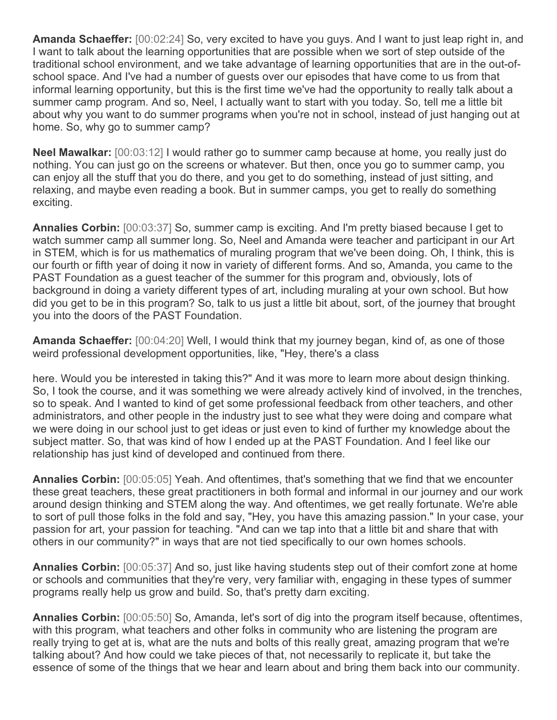**Amanda Schaeffer:** [00:02:24] So, very excited to have you guys. And I want to just leap right in, and I want to talk about the learning opportunities that are possible when we sort of step outside of the traditional school environment, and we take advantage of learning opportunities that are in the out-ofschool space. And I've had a number of guests over our episodes that have come to us from that informal learning opportunity, but this is the first time we've had the opportunity to really talk about a summer camp program. And so, Neel, I actually want to start with you today. So, tell me a little bit about why you want to do summer programs when you're not in school, instead of just hanging out at home. So, why go to summer camp?

**Neel Mawalkar:** [00:03:12] I would rather go to summer camp because at home, you really just do nothing. You can just go on the screens or whatever. But then, once you go to summer camp, you can enjoy all the stuff that you do there, and you get to do something, instead of just sitting, and relaxing, and maybe even reading a book. But in summer camps, you get to really do something exciting.

**Annalies Corbin:** [00:03:37] So, summer camp is exciting. And I'm pretty biased because I get to watch summer camp all summer long. So, Neel and Amanda were teacher and participant in our Art in STEM, which is for us mathematics of muraling program that we've been doing. Oh, I think, this is our fourth or fifth year of doing it now in variety of different forms. And so, Amanda, you came to the PAST Foundation as a guest teacher of the summer for this program and, obviously, lots of background in doing a variety different types of art, including muraling at your own school. But how did you get to be in this program? So, talk to us just a little bit about, sort, of the journey that brought you into the doors of the PAST Foundation.

**Amanda Schaeffer:** [00:04:20] Well, I would think that my journey began, kind of, as one of those weird professional development opportunities, like, "Hey, there's a class

here. Would you be interested in taking this?" And it was more to learn more about design thinking. So, I took the course, and it was something we were already actively kind of involved, in the trenches, so to speak. And I wanted to kind of get some professional feedback from other teachers, and other administrators, and other people in the industry just to see what they were doing and compare what we were doing in our school just to get ideas or just even to kind of further my knowledge about the subject matter. So, that was kind of how I ended up at the PAST Foundation. And I feel like our relationship has just kind of developed and continued from there.

**Annalies Corbin:** [00:05:05] Yeah. And oftentimes, that's something that we find that we encounter these great teachers, these great practitioners in both formal and informal in our journey and our work around design thinking and STEM along the way. And oftentimes, we get really fortunate. We're able to sort of pull those folks in the fold and say, "Hey, you have this amazing passion." In your case, your passion for art, your passion for teaching. "And can we tap into that a little bit and share that with others in our community?" in ways that are not tied specifically to our own homes schools.

**Annalies Corbin:** [00:05:37] And so, just like having students step out of their comfort zone at home or schools and communities that they're very, very familiar with, engaging in these types of summer programs really help us grow and build. So, that's pretty darn exciting.

**Annalies Corbin:** [00:05:50] So, Amanda, let's sort of dig into the program itself because, oftentimes, with this program, what teachers and other folks in community who are listening the program are really trying to get at is, what are the nuts and bolts of this really great, amazing program that we're talking about? And how could we take pieces of that, not necessarily to replicate it, but take the essence of some of the things that we hear and learn about and bring them back into our community.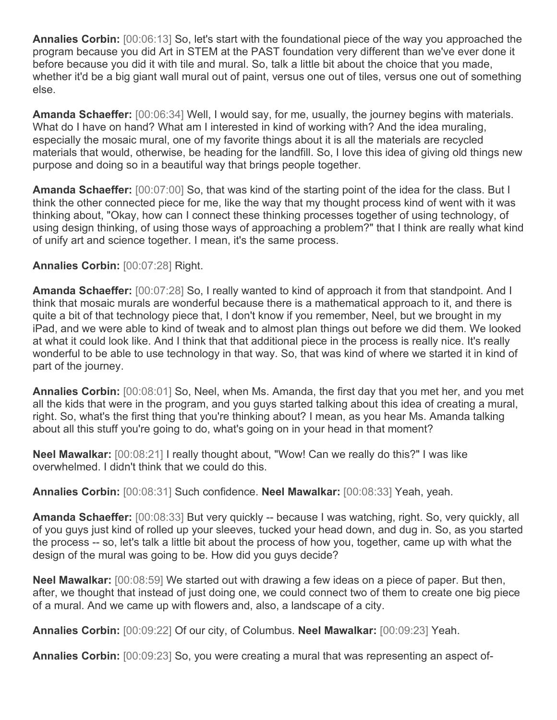**Annalies Corbin:** [00:06:13] So, let's start with the foundational piece of the way you approached the program because you did Art in STEM at the PAST foundation very different than we've ever done it before because you did it with tile and mural. So, talk a little bit about the choice that you made, whether it'd be a big giant wall mural out of paint, versus one out of tiles, versus one out of something else.

**Amanda Schaeffer:** [00:06:34] Well, I would say, for me, usually, the journey begins with materials. What do I have on hand? What am I interested in kind of working with? And the idea muraling, especially the mosaic mural, one of my favorite things about it is all the materials are recycled materials that would, otherwise, be heading for the landfill. So, I love this idea of giving old things new purpose and doing so in a beautiful way that brings people together.

**Amanda Schaeffer:** [00:07:00] So, that was kind of the starting point of the idea for the class. But I think the other connected piece for me, like the way that my thought process kind of went with it was thinking about, "Okay, how can I connect these thinking processes together of using technology, of using design thinking, of using those ways of approaching a problem?" that I think are really what kind of unify art and science together. I mean, it's the same process.

## **Annalies Corbin:** [00:07:28] Right.

**Amanda Schaeffer:** [00:07:28] So, I really wanted to kind of approach it from that standpoint. And I think that mosaic murals are wonderful because there is a mathematical approach to it, and there is quite a bit of that technology piece that, I don't know if you remember, Neel, but we brought in my iPad, and we were able to kind of tweak and to almost plan things out before we did them. We looked at what it could look like. And I think that that additional piece in the process is really nice. It's really wonderful to be able to use technology in that way. So, that was kind of where we started it in kind of part of the journey.

**Annalies Corbin:** [00:08:01] So, Neel, when Ms. Amanda, the first day that you met her, and you met all the kids that were in the program, and you guys started talking about this idea of creating a mural, right. So, what's the first thing that you're thinking about? I mean, as you hear Ms. Amanda talking about all this stuff you're going to do, what's going on in your head in that moment?

**Neel Mawalkar:** [00:08:21] I really thought about, "Wow! Can we really do this?" I was like overwhelmed. I didn't think that we could do this.

**Annalies Corbin:** [00:08:31] Such confidence. **Neel Mawalkar:** [00:08:33] Yeah, yeah.

**Amanda Schaeffer:** [00:08:33] But very quickly -- because I was watching, right. So, very quickly, all of you guys just kind of rolled up your sleeves, tucked your head down, and dug in. So, as you started the process -- so, let's talk a little bit about the process of how you, together, came up with what the design of the mural was going to be. How did you guys decide?

**Neel Mawalkar:** [00:08:59] We started out with drawing a few ideas on a piece of paper. But then, after, we thought that instead of just doing one, we could connect two of them to create one big piece of a mural. And we came up with flowers and, also, a landscape of a city.

**Annalies Corbin:** [00:09:22] Of our city, of Columbus. **Neel Mawalkar:** [00:09:23] Yeah.

**Annalies Corbin:** [00:09:23] So, you were creating a mural that was representing an aspect of-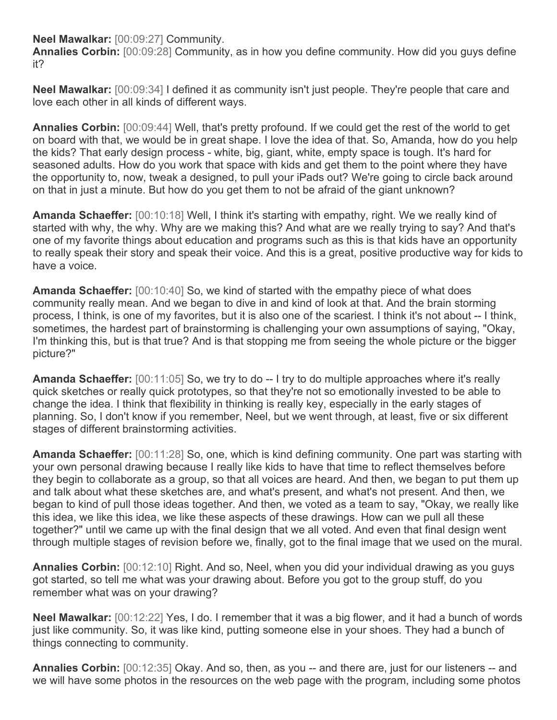**Neel Mawalkar:** [00:09:27] Community.

**Annalies Corbin:** [00:09:28] Community, as in how you define community. How did you guys define it?

**Neel Mawalkar:** [00:09:34] I defined it as community isn't just people. They're people that care and love each other in all kinds of different ways.

**Annalies Corbin:** [00:09:44] Well, that's pretty profound. If we could get the rest of the world to get on board with that, we would be in great shape. I love the idea of that. So, Amanda, how do you help the kids? That early design process - white, big, giant, white, empty space is tough. It's hard for seasoned adults. How do you work that space with kids and get them to the point where they have the opportunity to, now, tweak a designed, to pull your iPads out? We're going to circle back around on that in just a minute. But how do you get them to not be afraid of the giant unknown?

**Amanda Schaeffer:** [00:10:18] Well, I think it's starting with empathy, right. We we really kind of started with why, the why. Why are we making this? And what are we really trying to say? And that's one of my favorite things about education and programs such as this is that kids have an opportunity to really speak their story and speak their voice. And this is a great, positive productive way for kids to have a voice.

**Amanda Schaeffer:** [00:10:40] So, we kind of started with the empathy piece of what does community really mean. And we began to dive in and kind of look at that. And the brain storming process, I think, is one of my favorites, but it is also one of the scariest. I think it's not about -- I think, sometimes, the hardest part of brainstorming is challenging your own assumptions of saying, "Okay, I'm thinking this, but is that true? And is that stopping me from seeing the whole picture or the bigger picture?"

**Amanda Schaeffer:** [00:11:05] So, we try to do -- I try to do multiple approaches where it's really quick sketches or really quick prototypes, so that they're not so emotionally invested to be able to change the idea. I think that flexibility in thinking is really key, especially in the early stages of planning. So, I don't know if you remember, Neel, but we went through, at least, five or six different stages of different brainstorming activities.

**Amanda Schaeffer:** [00:11:28] So, one, which is kind defining community. One part was starting with your own personal drawing because I really like kids to have that time to reflect themselves before they begin to collaborate as a group, so that all voices are heard. And then, we began to put them up and talk about what these sketches are, and what's present, and what's not present. And then, we began to kind of pull those ideas together. And then, we voted as a team to say, "Okay, we really like this idea, we like this idea, we like these aspects of these drawings. How can we pull all these together?" until we came up with the final design that we all voted. And even that final design went through multiple stages of revision before we, finally, got to the final image that we used on the mural.

**Annalies Corbin:** [00:12:10] Right. And so, Neel, when you did your individual drawing as you guys got started, so tell me what was your drawing about. Before you got to the group stuff, do you remember what was on your drawing?

**Neel Mawalkar:** [00:12:22] Yes, I do. I remember that it was a big flower, and it had a bunch of words just like community. So, it was like kind, putting someone else in your shoes. They had a bunch of things connecting to community.

**Annalies Corbin:** [00:12:35] Okay. And so, then, as you -- and there are, just for our listeners -- and we will have some photos in the resources on the web page with the program, including some photos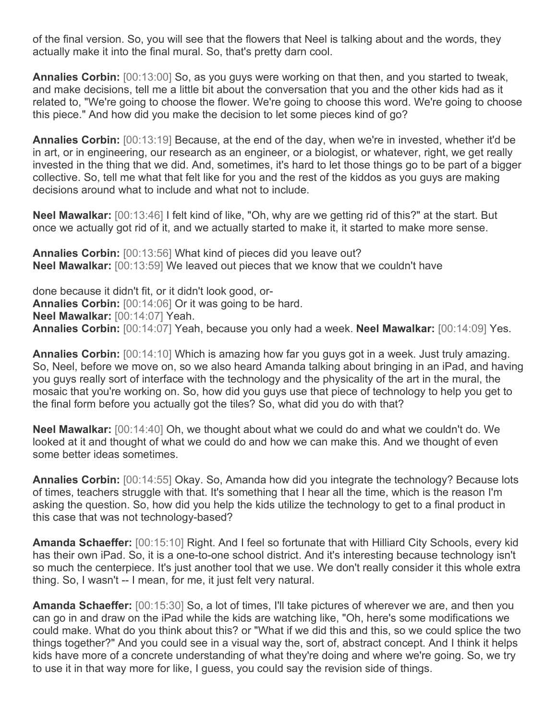of the final version. So, you will see that the flowers that Neel is talking about and the words, they actually make it into the final mural. So, that's pretty darn cool.

**Annalies Corbin:** [00:13:00] So, as you guys were working on that then, and you started to tweak, and make decisions, tell me a little bit about the conversation that you and the other kids had as it related to, "We're going to choose the flower. We're going to choose this word. We're going to choose this piece." And how did you make the decision to let some pieces kind of go?

**Annalies Corbin:** [00:13:19] Because, at the end of the day, when we're in invested, whether it'd be in art, or in engineering, our research as an engineer, or a biologist, or whatever, right, we get really invested in the thing that we did. And, sometimes, it's hard to let those things go to be part of a bigger collective. So, tell me what that felt like for you and the rest of the kiddos as you guys are making decisions around what to include and what not to include.

**Neel Mawalkar:** [00:13:46] I felt kind of like, "Oh, why are we getting rid of this?" at the start. But once we actually got rid of it, and we actually started to make it, it started to make more sense.

**Annalies Corbin:** [00:13:56] What kind of pieces did you leave out? **Neel Mawalkar:** [00:13:59] We leaved out pieces that we know that we couldn't have

done because it didn't fit, or it didn't look good, or-**Annalies Corbin:** [00:14:06] Or it was going to be hard. **Neel Mawalkar:** [00:14:07] Yeah. **Annalies Corbin:** [00:14:07] Yeah, because you only had a week. **Neel Mawalkar:** [00:14:09] Yes.

**Annalies Corbin:** [00:14:10] Which is amazing how far you guys got in a week. Just truly amazing. So, Neel, before we move on, so we also heard Amanda talking about bringing in an iPad, and having you guys really sort of interface with the technology and the physicality of the art in the mural, the mosaic that you're working on. So, how did you guys use that piece of technology to help you get to the final form before you actually got the tiles? So, what did you do with that?

**Neel Mawalkar:** [00:14:40] Oh, we thought about what we could do and what we couldn't do. We looked at it and thought of what we could do and how we can make this. And we thought of even some better ideas sometimes.

**Annalies Corbin:** [00:14:55] Okay. So, Amanda how did you integrate the technology? Because lots of times, teachers struggle with that. It's something that I hear all the time, which is the reason I'm asking the question. So, how did you help the kids utilize the technology to get to a final product in this case that was not technology-based?

**Amanda Schaeffer:** [00:15:10] Right. And I feel so fortunate that with Hilliard City Schools, every kid has their own iPad. So, it is a one-to-one school district. And it's interesting because technology isn't so much the centerpiece. It's just another tool that we use. We don't really consider it this whole extra thing. So, I wasn't -- I mean, for me, it just felt very natural.

**Amanda Schaeffer:** [00:15:30] So, a lot of times, I'll take pictures of wherever we are, and then you can go in and draw on the iPad while the kids are watching like, "Oh, here's some modifications we could make. What do you think about this? or "What if we did this and this, so we could splice the two things together?" And you could see in a visual way the, sort of, abstract concept. And I think it helps kids have more of a concrete understanding of what they're doing and where we're going. So, we try to use it in that way more for like, I guess, you could say the revision side of things.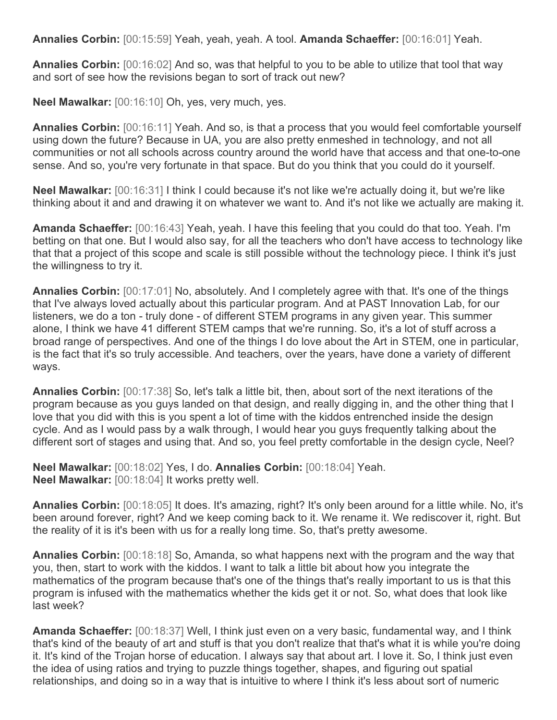**Annalies Corbin:** [00:15:59] Yeah, yeah, yeah. A tool. **Amanda Schaeffer:** [00:16:01] Yeah.

**Annalies Corbin:** [00:16:02] And so, was that helpful to you to be able to utilize that tool that way and sort of see how the revisions began to sort of track out new?

**Neel Mawalkar:** [00:16:10] Oh, yes, very much, yes.

**Annalies Corbin:** [00:16:11] Yeah. And so, is that a process that you would feel comfortable yourself using down the future? Because in UA, you are also pretty enmeshed in technology, and not all communities or not all schools across country around the world have that access and that one-to-one sense. And so, you're very fortunate in that space. But do you think that you could do it yourself.

**Neel Mawalkar:** [00:16:31] I think I could because it's not like we're actually doing it, but we're like thinking about it and and drawing it on whatever we want to. And it's not like we actually are making it.

**Amanda Schaeffer:** [00:16:43] Yeah, yeah. I have this feeling that you could do that too. Yeah. I'm betting on that one. But I would also say, for all the teachers who don't have access to technology like that that a project of this scope and scale is still possible without the technology piece. I think it's just the willingness to try it.

**Annalies Corbin:** [00:17:01] No, absolutely. And I completely agree with that. It's one of the things that I've always loved actually about this particular program. And at PAST Innovation Lab, for our listeners, we do a ton - truly done - of different STEM programs in any given year. This summer alone, I think we have 41 different STEM camps that we're running. So, it's a lot of stuff across a broad range of perspectives. And one of the things I do love about the Art in STEM, one in particular, is the fact that it's so truly accessible. And teachers, over the years, have done a variety of different ways.

**Annalies Corbin:** [00:17:38] So, let's talk a little bit, then, about sort of the next iterations of the program because as you guys landed on that design, and really digging in, and the other thing that I love that you did with this is you spent a lot of time with the kiddos entrenched inside the design cycle. And as I would pass by a walk through, I would hear you guys frequently talking about the different sort of stages and using that. And so, you feel pretty comfortable in the design cycle, Neel?

**Neel Mawalkar:** [00:18:02] Yes, I do. **Annalies Corbin:** [00:18:04] Yeah. **Neel Mawalkar:** [00:18:04] It works pretty well.

**Annalies Corbin:** [00:18:05] It does. It's amazing, right? It's only been around for a little while. No, it's been around forever, right? And we keep coming back to it. We rename it. We rediscover it, right. But the reality of it is it's been with us for a really long time. So, that's pretty awesome.

**Annalies Corbin:** [00:18:18] So, Amanda, so what happens next with the program and the way that you, then, start to work with the kiddos. I want to talk a little bit about how you integrate the mathematics of the program because that's one of the things that's really important to us is that this program is infused with the mathematics whether the kids get it or not. So, what does that look like last week?

**Amanda Schaeffer:** [00:18:37] Well, I think just even on a very basic, fundamental way, and I think that's kind of the beauty of art and stuff is that you don't realize that that's what it is while you're doing it. It's kind of the Trojan horse of education. I always say that about art. I love it. So, I think just even the idea of using ratios and trying to puzzle things together, shapes, and figuring out spatial relationships, and doing so in a way that is intuitive to where I think it's less about sort of numeric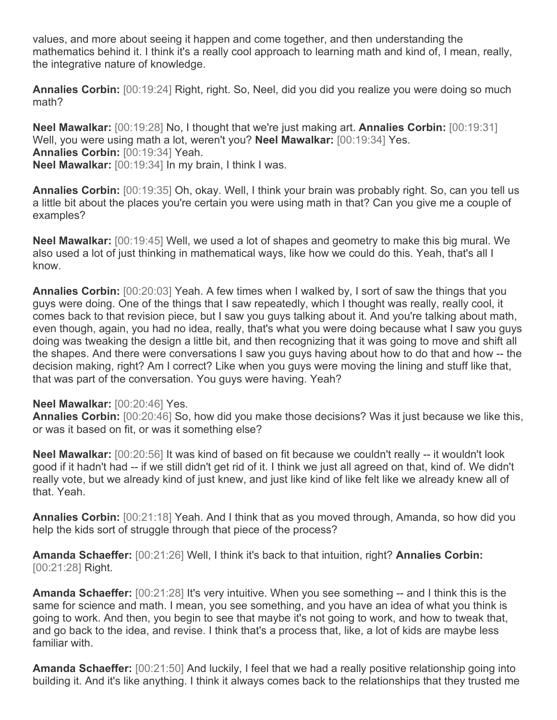values, and more about seeing it happen and come together, and then understanding the mathematics behind it. I think it's a really cool approach to learning math and kind of, I mean, really, the integrative nature of knowledge.

**Annalies Corbin:** [00:19:24] Right, right. So, Neel, did you did you realize you were doing so much math?

**Neel Mawalkar:** [00:19:28] No, I thought that we're just making art. **Annalies Corbin:** [00:19:31] Well, you were using math a lot, weren't you? **Neel Mawalkar:** [00:19:34] Yes. **Annalies Corbin:** [00:19:34] Yeah. **Neel Mawalkar:** [00:19:34] In my brain, I think I was.

**Annalies Corbin:** [00:19:35] Oh, okay. Well, I think your brain was probably right. So, can you tell us a little bit about the places you're certain you were using math in that? Can you give me a couple of examples?

**Neel Mawalkar:** [00:19:45] Well, we used a lot of shapes and geometry to make this big mural. We also used a lot of just thinking in mathematical ways, like how we could do this. Yeah, that's all I know.

**Annalies Corbin:** [00:20:03] Yeah. A few times when I walked by, I sort of saw the things that you guys were doing. One of the things that I saw repeatedly, which I thought was really, really cool, it comes back to that revision piece, but I saw you guys talking about it. And you're talking about math, even though, again, you had no idea, really, that's what you were doing because what I saw you guys doing was tweaking the design a little bit, and then recognizing that it was going to move and shift all the shapes. And there were conversations I saw you guys having about how to do that and how -- the decision making, right? Am I correct? Like when you guys were moving the lining and stuff like that, that was part of the conversation. You guys were having. Yeah?

## **Neel Mawalkar:** [00:20:46] Yes.

**Annalies Corbin:** [00:20:46] So, how did you make those decisions? Was it just because we like this, or was it based on fit, or was it something else?

**Neel Mawalkar:** [00:20:56] It was kind of based on fit because we couldn't really -- it wouldn't look good if it hadn't had -- if we still didn't get rid of it. I think we just all agreed on that, kind of. We didn't really vote, but we already kind of just knew, and just like kind of like felt like we already knew all of that. Yeah.

**Annalies Corbin:** [00:21:18] Yeah. And I think that as you moved through, Amanda, so how did you help the kids sort of struggle through that piece of the process?

**Amanda Schaeffer:** [00:21:26] Well, I think it's back to that intuition, right? **Annalies Corbin:**  [00:21:28] Right.

**Amanda Schaeffer:** [00:21:28] It's very intuitive. When you see something -- and I think this is the same for science and math. I mean, you see something, and you have an idea of what you think is going to work. And then, you begin to see that maybe it's not going to work, and how to tweak that, and go back to the idea, and revise. I think that's a process that, like, a lot of kids are maybe less familiar with.

**Amanda Schaeffer:** [00:21:50] And luckily, I feel that we had a really positive relationship going into building it. And it's like anything. I think it always comes back to the relationships that they trusted me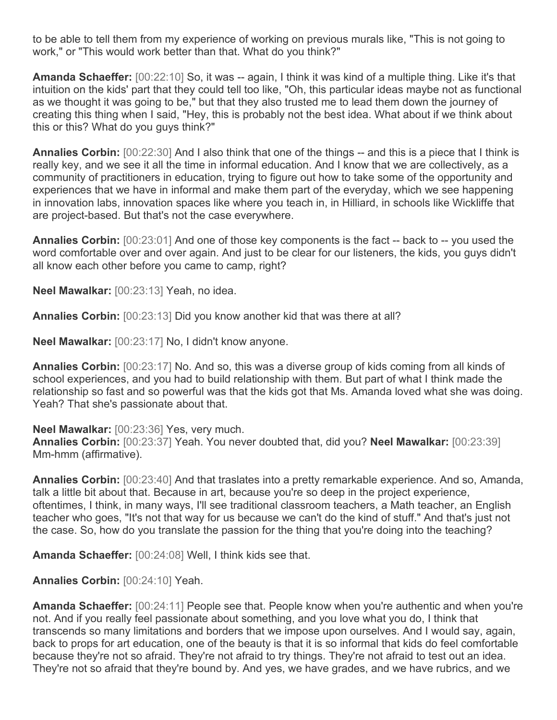to be able to tell them from my experience of working on previous murals like, "This is not going to work," or "This would work better than that. What do you think?"

**Amanda Schaeffer:** [00:22:10] So, it was -- again, I think it was kind of a multiple thing. Like it's that intuition on the kids' part that they could tell too like, "Oh, this particular ideas maybe not as functional as we thought it was going to be," but that they also trusted me to lead them down the journey of creating this thing when I said, "Hey, this is probably not the best idea. What about if we think about this or this? What do you guys think?"

**Annalies Corbin:** [00:22:30] And I also think that one of the things -- and this is a piece that I think is really key, and we see it all the time in informal education. And I know that we are collectively, as a community of practitioners in education, trying to figure out how to take some of the opportunity and experiences that we have in informal and make them part of the everyday, which we see happening in innovation labs, innovation spaces like where you teach in, in Hilliard, in schools like Wickliffe that are project-based. But that's not the case everywhere.

**Annalies Corbin:** [00:23:01] And one of those key components is the fact -- back to -- you used the word comfortable over and over again. And just to be clear for our listeners, the kids, you guys didn't all know each other before you came to camp, right?

**Neel Mawalkar:** [00:23:13] Yeah, no idea.

**Annalies Corbin:** [00:23:13] Did you know another kid that was there at all?

**Neel Mawalkar:** [00:23:17] No, I didn't know anyone.

**Annalies Corbin:** [00:23:17] No. And so, this was a diverse group of kids coming from all kinds of school experiences, and you had to build relationship with them. But part of what I think made the relationship so fast and so powerful was that the kids got that Ms. Amanda loved what she was doing. Yeah? That she's passionate about that.

**Neel Mawalkar:** [00:23:36] Yes, very much.

**Annalies Corbin:** [00:23:37] Yeah. You never doubted that, did you? **Neel Mawalkar:** [00:23:39] Mm-hmm (affirmative).

**Annalies Corbin:** [00:23:40] And that traslates into a pretty remarkable experience. And so, Amanda, talk a little bit about that. Because in art, because you're so deep in the project experience, oftentimes, I think, in many ways, I'll see traditional classroom teachers, a Math teacher, an English teacher who goes, "It's not that way for us because we can't do the kind of stuff." And that's just not the case. So, how do you translate the passion for the thing that you're doing into the teaching?

**Amanda Schaeffer:** [00:24:08] Well, I think kids see that.

**Annalies Corbin:** [00:24:10] Yeah.

**Amanda Schaeffer:** [00:24:11] People see that. People know when you're authentic and when you're not. And if you really feel passionate about something, and you love what you do, I think that transcends so many limitations and borders that we impose upon ourselves. And I would say, again, back to props for art education, one of the beauty is that it is so informal that kids do feel comfortable because they're not so afraid. They're not afraid to try things. They're not afraid to test out an idea. They're not so afraid that they're bound by. And yes, we have grades, and we have rubrics, and we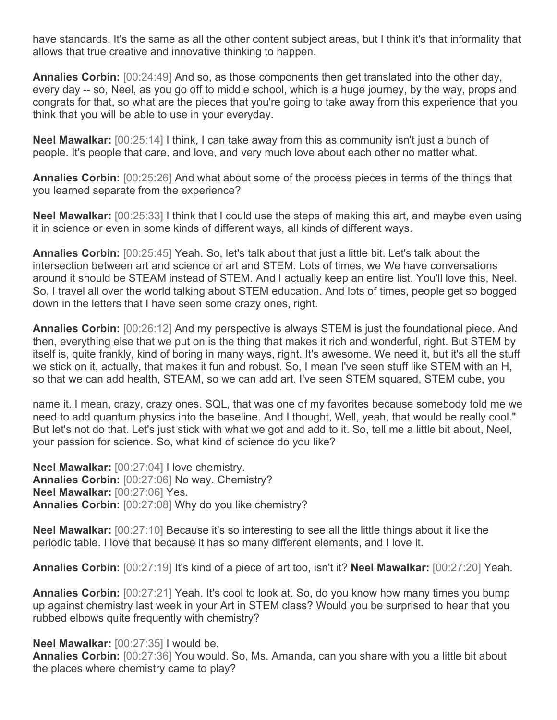have standards. It's the same as all the other content subject areas, but I think it's that informality that allows that true creative and innovative thinking to happen.

**Annalies Corbin:** [00:24:49] And so, as those components then get translated into the other day, every day -- so, Neel, as you go off to middle school, which is a huge journey, by the way, props and congrats for that, so what are the pieces that you're going to take away from this experience that you think that you will be able to use in your everyday.

**Neel Mawalkar:** [00:25:14] I think, I can take away from this as community isn't just a bunch of people. It's people that care, and love, and very much love about each other no matter what.

**Annalies Corbin:** [00:25:26] And what about some of the process pieces in terms of the things that you learned separate from the experience?

**Neel Mawalkar:** [00:25:33] I think that I could use the steps of making this art, and maybe even using it in science or even in some kinds of different ways, all kinds of different ways.

**Annalies Corbin:** [00:25:45] Yeah. So, let's talk about that just a little bit. Let's talk about the intersection between art and science or art and STEM. Lots of times, we We have conversations around it should be STEAM instead of STEM. And I actually keep an entire list. You'll love this, Neel. So, I travel all over the world talking about STEM education. And lots of times, people get so bogged down in the letters that I have seen some crazy ones, right.

**Annalies Corbin:** [00:26:12] And my perspective is always STEM is just the foundational piece. And then, everything else that we put on is the thing that makes it rich and wonderful, right. But STEM by itself is, quite frankly, kind of boring in many ways, right. It's awesome. We need it, but it's all the stuff we stick on it, actually, that makes it fun and robust. So, I mean I've seen stuff like STEM with an H, so that we can add health, STEAM, so we can add art. I've seen STEM squared, STEM cube, you

name it. I mean, crazy, crazy ones. SQL, that was one of my favorites because somebody told me we need to add quantum physics into the baseline. And I thought, Well, yeah, that would be really cool." But let's not do that. Let's just stick with what we got and add to it. So, tell me a little bit about, Neel, your passion for science. So, what kind of science do you like?

**Neel Mawalkar:** [00:27:04] I love chemistry. **Annalies Corbin:** [00:27:06] No way. Chemistry? **Neel Mawalkar:** [00:27:06] Yes. **Annalies Corbin:** [00:27:08] Why do you like chemistry?

**Neel Mawalkar:** [00:27:10] Because it's so interesting to see all the little things about it like the periodic table. I love that because it has so many different elements, and I love it.

**Annalies Corbin:** [00:27:19] It's kind of a piece of art too, isn't it? **Neel Mawalkar:** [00:27:20] Yeah.

**Annalies Corbin:** [00:27:21] Yeah. It's cool to look at. So, do you know how many times you bump up against chemistry last week in your Art in STEM class? Would you be surprised to hear that you rubbed elbows quite frequently with chemistry?

## **Neel Mawalkar:** [00:27:35] I would be.

**Annalies Corbin:** [00:27:36] You would. So, Ms. Amanda, can you share with you a little bit about the places where chemistry came to play?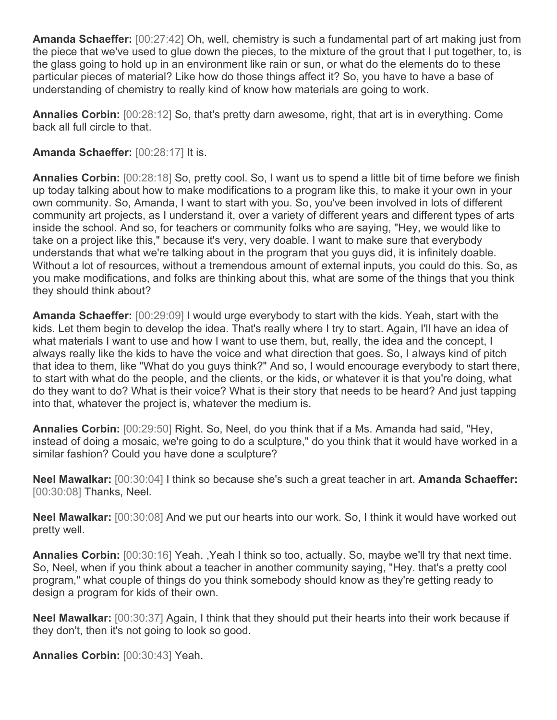**Amanda Schaeffer:** [00:27:42] Oh, well, chemistry is such a fundamental part of art making just from the piece that we've used to glue down the pieces, to the mixture of the grout that I put together, to, is the glass going to hold up in an environment like rain or sun, or what do the elements do to these particular pieces of material? Like how do those things affect it? So, you have to have a base of understanding of chemistry to really kind of know how materials are going to work.

**Annalies Corbin:** [00:28:12] So, that's pretty darn awesome, right, that art is in everything. Come back all full circle to that.

**Amanda Schaeffer:** [00:28:17] It is.

**Annalies Corbin:** [00:28:18] So, pretty cool. So, I want us to spend a little bit of time before we finish up today talking about how to make modifications to a program like this, to make it your own in your own community. So, Amanda, I want to start with you. So, you've been involved in lots of different community art projects, as I understand it, over a variety of different years and different types of arts inside the school. And so, for teachers or community folks who are saying, "Hey, we would like to take on a project like this," because it's very, very doable. I want to make sure that everybody understands that what we're talking about in the program that you guys did, it is infinitely doable. Without a lot of resources, without a tremendous amount of external inputs, you could do this. So, as you make modifications, and folks are thinking about this, what are some of the things that you think they should think about?

**Amanda Schaeffer:** [00:29:09] I would urge everybody to start with the kids. Yeah, start with the kids. Let them begin to develop the idea. That's really where I try to start. Again, I'll have an idea of what materials I want to use and how I want to use them, but, really, the idea and the concept, I always really like the kids to have the voice and what direction that goes. So, I always kind of pitch that idea to them, like "What do you guys think?" And so, I would encourage everybody to start there, to start with what do the people, and the clients, or the kids, or whatever it is that you're doing, what do they want to do? What is their voice? What is their story that needs to be heard? And just tapping into that, whatever the project is, whatever the medium is.

**Annalies Corbin:** [00:29:50] Right. So, Neel, do you think that if a Ms. Amanda had said, "Hey, instead of doing a mosaic, we're going to do a sculpture," do you think that it would have worked in a similar fashion? Could you have done a sculpture?

**Neel Mawalkar:** [00:30:04] I think so because she's such a great teacher in art. **Amanda Schaeffer:**  [00:30:08] Thanks, Neel.

**Neel Mawalkar:** [00:30:08] And we put our hearts into our work. So, I think it would have worked out pretty well.

**Annalies Corbin:** [00:30:16] Yeah. ,Yeah I think so too, actually. So, maybe we'll try that next time. So, Neel, when if you think about a teacher in another community saying, "Hey. that's a pretty cool program," what couple of things do you think somebody should know as they're getting ready to design a program for kids of their own.

**Neel Mawalkar:** [00:30:37] Again, I think that they should put their hearts into their work because if they don't, then it's not going to look so good.

**Annalies Corbin:** [00:30:43] Yeah.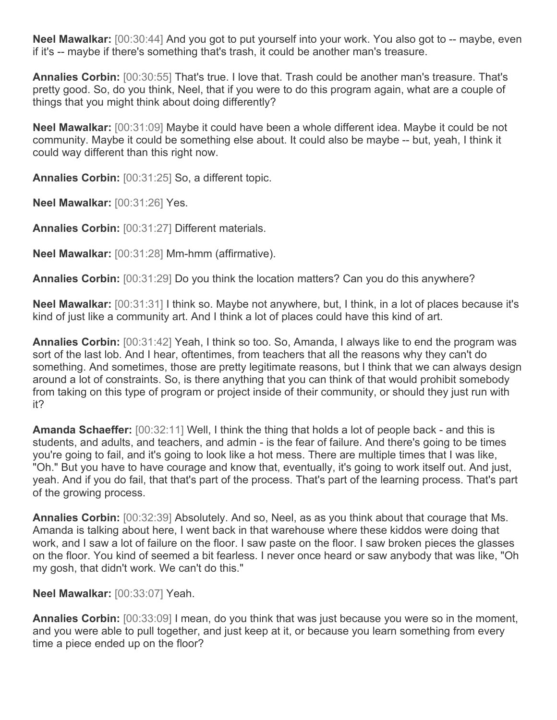**Neel Mawalkar:** [00:30:44] And you got to put yourself into your work. You also got to -- maybe, even if it's -- maybe if there's something that's trash, it could be another man's treasure.

**Annalies Corbin:** [00:30:55] That's true. I love that. Trash could be another man's treasure. That's pretty good. So, do you think, Neel, that if you were to do this program again, what are a couple of things that you might think about doing differently?

**Neel Mawalkar:** [00:31:09] Maybe it could have been a whole different idea. Maybe it could be not community. Maybe it could be something else about. It could also be maybe -- but, yeah, I think it could way different than this right now.

**Annalies Corbin:** [00:31:25] So, a different topic.

**Neel Mawalkar:** [00:31:26] Yes.

**Annalies Corbin:** [00:31:27] Different materials.

**Neel Mawalkar:** [00:31:28] Mm-hmm (affirmative).

**Annalies Corbin:** [00:31:29] Do you think the location matters? Can you do this anywhere?

**Neel Mawalkar:** [00:31:31] I think so. Maybe not anywhere, but, I think, in a lot of places because it's kind of just like a community art. And I think a lot of places could have this kind of art.

**Annalies Corbin:** [00:31:42] Yeah, I think so too. So, Amanda, I always like to end the program was sort of the last lob. And I hear, oftentimes, from teachers that all the reasons why they can't do something. And sometimes, those are pretty legitimate reasons, but I think that we can always design around a lot of constraints. So, is there anything that you can think of that would prohibit somebody from taking on this type of program or project inside of their community, or should they just run with it?

**Amanda Schaeffer:** [00:32:11] Well, I think the thing that holds a lot of people back - and this is students, and adults, and teachers, and admin - is the fear of failure. And there's going to be times you're going to fail, and it's going to look like a hot mess. There are multiple times that I was like, "Oh." But you have to have courage and know that, eventually, it's going to work itself out. And just, yeah. And if you do fail, that that's part of the process. That's part of the learning process. That's part of the growing process.

**Annalies Corbin:** [00:32:39] Absolutely. And so, Neel, as as you think about that courage that Ms. Amanda is talking about here, I went back in that warehouse where these kiddos were doing that work, and I saw a lot of failure on the floor. I saw paste on the floor. I saw broken pieces the glasses on the floor. You kind of seemed a bit fearless. I never once heard or saw anybody that was like, "Oh my gosh, that didn't work. We can't do this."

**Neel Mawalkar:** [00:33:07] Yeah.

**Annalies Corbin:** [00:33:09] I mean, do you think that was just because you were so in the moment, and you were able to pull together, and just keep at it, or because you learn something from every time a piece ended up on the floor?